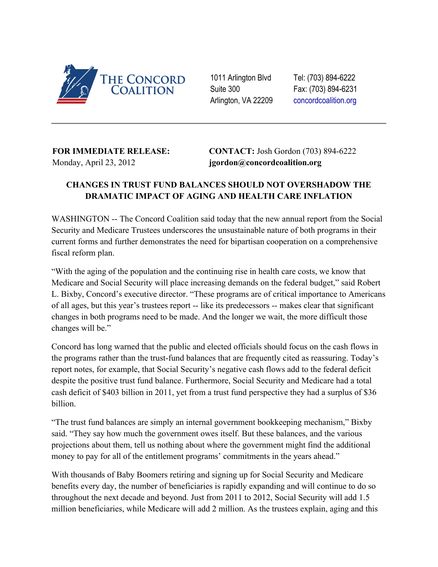

1011 Arlington Blvd Suite 300 Arlington, VA 22209 Tel: (703) 894-6222 Fax: (703) 894-6231 [concordcoalition.org](http://www.google.com/url?q=http%3A%2F%2Fconcordcoalition.org%2F&sa=D&sntz=1&usg=AFQjCNF6yzy-GjYgZ-PSK1RCUZV5Ln9txA)

## **FOR IMMEDIATE RELEASE:** Monday, April 23, 2012

**CONTACT:** Josh Gordon (703) 894-6222 **jgordon@concordcoalition.org**

## **CHANGES IN TRUST FUND BALANCES SHOULD NOT OVERSHADOW THE DRAMATIC IMPACT OF AGING AND HEALTH CARE INFLATION**

WASHINGTON -- The Concord Coalition said today that the new annual report from the Social Security and Medicare Trustees underscores the unsustainable nature of both programs in their current forms and further demonstrates the need for bipartisan cooperation on a comprehensive fiscal reform plan.

"With the aging of the population and the continuing rise in health care costs, we know that Medicare and Social Security will place increasing demands on the federal budget," said Robert L. Bixby, Concord's executive director. "These programs are of critical importance to Americans of all ages, but this year's trustees report -- like its predecessors -- makes clear that significant changes in both programs need to be made. And the longer we wait, the more difficult those changes will be."

Concord has long warned that the public and elected officials should focus on the cash flows in the programs rather than the trust-fund balances that are frequently cited as reassuring. Today's report notes, for example, that Social Security's negative cash flows add to the federal deficit despite the positive trust fund balance. Furthermore, Social Security and Medicare had a total cash deficit of \$403 billion in 2011, yet from a trust fund perspective they had a surplus of \$36 billion.

"The trust fund balances are simply an internal government bookkeeping mechanism," Bixby said. "They say how much the government owes itself. But these balances, and the various projections about them, tell us nothing about where the government might find the additional money to pay for all of the entitlement programs' commitments in the years ahead."

With thousands of Baby Boomers retiring and signing up for Social Security and Medicare benefits every day, the number of beneficiaries is rapidly expanding and will continue to do so throughout the next decade and beyond. Just from 2011 to 2012, Social Security will add 1.5 million beneficiaries, while Medicare will add 2 million. As the trustees explain, aging and this